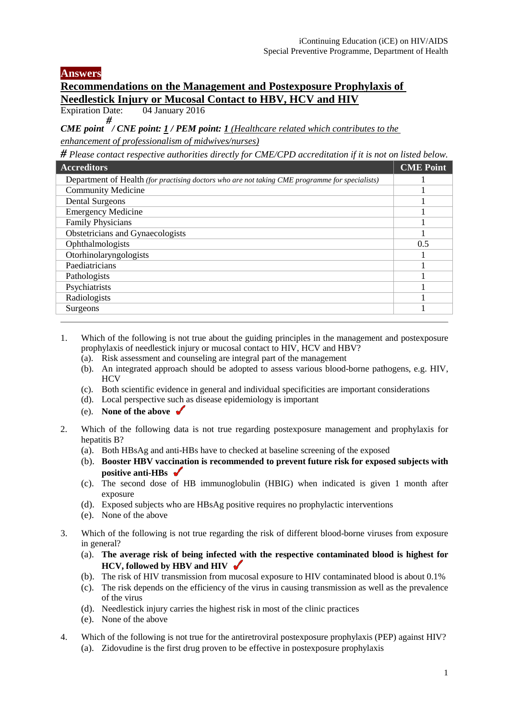## **Answers**

## **Recommendations on the Management and Postexposure Prophylaxis of Needlestick Injury or Mucosal Contact to HBV, HCV and HIV**<br>Expiration Date: 04 January 2016

 $\overline{04}$  January 2016

*CME point # / CNE point: 1 / PEM point: 1 (Healthcare related which contributes to the enhancement of professionalism of midwives/nurses)*

*# Please contact respective authorities directly for CME/CPD accreditation if it is not on listed below.* 

| <b>Accreditors</b>                                                                             | <b>CME Point</b> |
|------------------------------------------------------------------------------------------------|------------------|
| Department of Health (for practising doctors who are not taking CME programme for specialists) |                  |
| <b>Community Medicine</b>                                                                      |                  |
| <b>Dental Surgeons</b>                                                                         |                  |
| <b>Emergency Medicine</b>                                                                      |                  |
| <b>Family Physicians</b>                                                                       |                  |
| Obstetricians and Gynaecologists                                                               |                  |
| Ophthalmologists                                                                               | 0.5              |
| Otorhinolaryngologists                                                                         |                  |
| Paediatricians                                                                                 |                  |
| Pathologists                                                                                   |                  |
| Psychiatrists                                                                                  |                  |
| Radiologists                                                                                   |                  |
| Surgeons                                                                                       |                  |

- 1. Which of the following is not true about the guiding principles in the management and postexposure prophylaxis of needlestick injury or mucosal contact to HIV, HCV and HBV?
	- (a). Risk assessment and counseling are integral part of the management
	- (b). An integrated approach should be adopted to assess various blood-borne pathogens, e.g. HIV, **HCV**
	- (c). Both scientific evidence in general and individual specificities are important considerations
	- (d). Local perspective such as disease epidemiology is important
	- (e). **None of the above**
- 2. Which of the following data is not true regarding postexposure management and prophylaxis for hepatitis B?
	- (a). Both HBsAg and anti-HBs have to checked at baseline screening of the exposed
	- (b). **Booster HBV vaccination is recommended to prevent future risk for exposed subjects with positive anti-HBs**
	- (c). The second dose of HB immunoglobulin (HBIG) when indicated is given 1 month after exposure
	- (d). Exposed subjects who are HBsAg positive requires no prophylactic interventions
	- (e). None of the above
- 3. Which of the following is not true regarding the risk of different blood-borne viruses from exposure in general?
	- (a). **The average risk of being infected with the respective contaminated blood is highest for HCV, followed by HBV and HIV**
	- (b). The risk of HIV transmission from mucosal exposure to HIV contaminated blood is about 0.1%
	- (c). The risk depends on the efficiency of the virus in causing transmission as well as the prevalence of the virus
	- (d). Needlestick injury carries the highest risk in most of the clinic practices
	- (e). None of the above
- 4. Which of the following is not true for the antiretroviral postexposure prophylaxis (PEP) against HIV? (a). Zidovudine is the first drug proven to be effective in postexposure prophylaxis